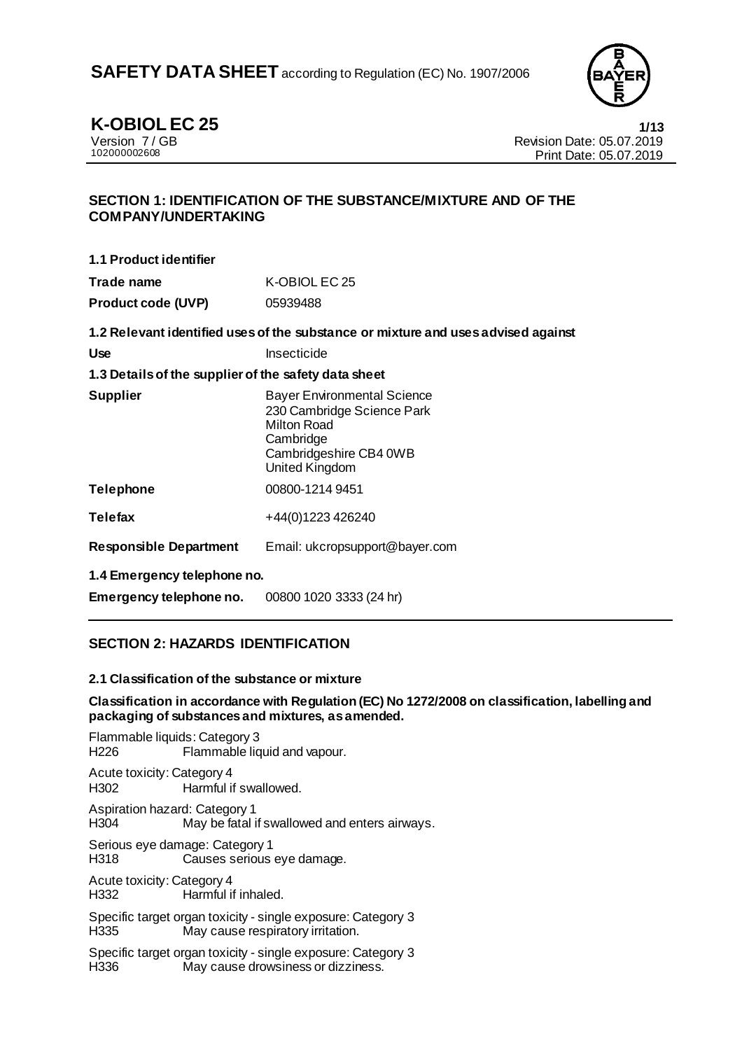

**K-OBIOL EC 25 1/13**<br>Version 7/GB **1/13**<br>Revision Date: 05.07.2019 Version 7 / GB Revision Date: 05.07.2019 Print Date: 05.07.2019

### **SECTION 1: IDENTIFICATION OF THE SUBSTANCE/MIXTURE AND OF THE COMPANY/UNDERTAKING**

**1.1 Product identifier**

| Trade name                | K-OBIOL EC 25 |
|---------------------------|---------------|
| <b>Product code (UVP)</b> | 05939488      |

**1.2 Relevant identified uses of the substance or mixture and uses advised against**

| Use | Insecticide |
|-----|-------------|
|     |             |

#### **1.3 Details of the supplier of the safety data sheet**

| <b>Supplier</b>  | <b>Bayer Environmental Science</b><br>230 Cambridge Science Park<br><b>Milton Road</b><br>Cambridge<br>Cambridgeshire CB4 0WB<br><b>United Kingdom</b> |
|------------------|--------------------------------------------------------------------------------------------------------------------------------------------------------|
| <b>Telephone</b> | 00800-1214 9451                                                                                                                                        |
| <b>Telefax</b>   | +44(0)1223 426240                                                                                                                                      |

**Responsible Department** Email: ukcropsupport@bayer.com

**1.4 Emergency telephone no.**

**Emergency telephone no.** 00800 1020 3333 (24 hr)

# **SECTION 2: HAZARDS IDENTIFICATION**

#### **2.1 Classification of the substance or mixture**

**Classification in accordance with Regulation (EC) No 1272/2008 on classification, labelling and packaging of substances and mixtures, as amended.**

Flammable liquids: Category 3 H226 Flammable liquid and vapour.

Acute toxicity: Category 4 H302 Harmful if swallowed.

Aspiration hazard: Category 1 H304 May be fatal if swallowed and enters airways.

Serious eye damage: Category 1<br>H318 Causes serious Causes serious eye damage.

Acute toxicity: Category 4 H332 Harmful if inhaled.

Specific target organ toxicity - single exposure: Category 3 H335 May cause respiratory irritation.

Specific target organ toxicity - single exposure: Category 3<br>H336 May cause drowsiness or dizziness. May cause drowsiness or dizziness.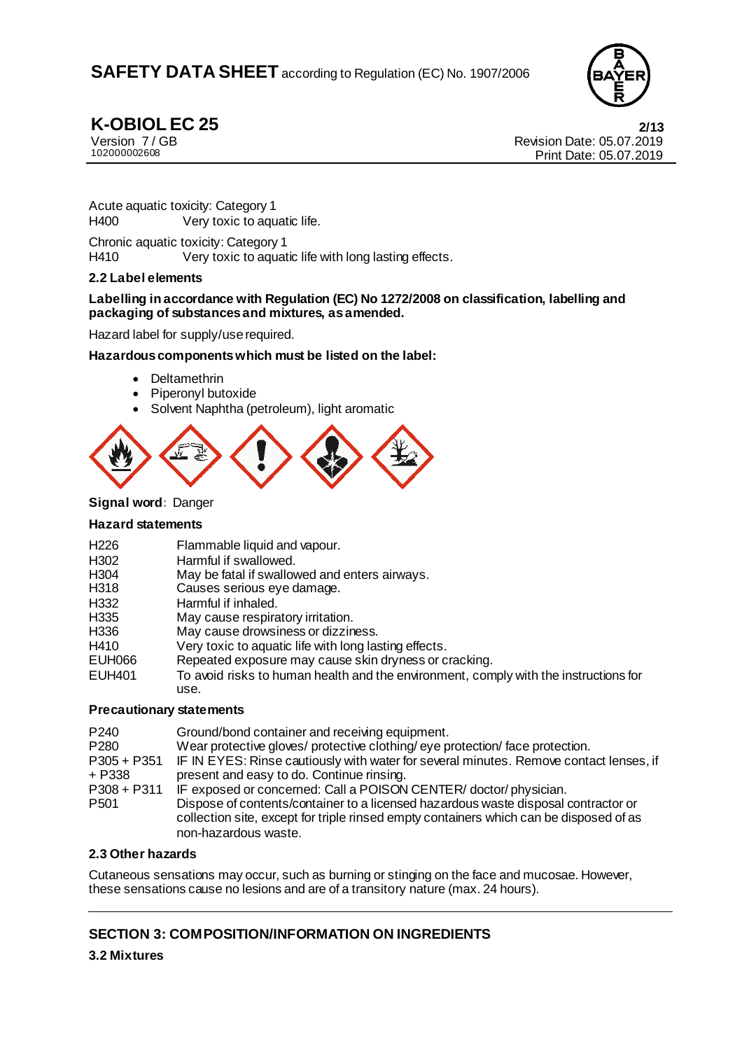

**K-OBIOL EC 25** 2/13<br>
Version 7/GB 2019<br>
Version 7/GB Version 7 / GB Revision Date: 05.07.2019 Print Date: 05.07.2019

Acute aquatic toxicity: Category 1 H400 Very toxic to aquatic life.

Chronic aquatic toxicity: Category 1<br>
H410 Very toxic to aquat Very toxic to aquatic life with long lasting effects.

#### **2.2 Label elements**

#### **Labelling in accordance with Regulation (EC) No 1272/2008 on classification, labelling and packaging of substances and mixtures, as amended.**

Hazard label for supply/use required.

#### **Hazardous components which must be listed on the label:**

- Deltamethrin
- Piperonyl butoxide
- Solvent Naphtha (petroleum), light aromatic



#### **Signal word:** Danger

#### **Hazard statements**

| H <sub>226</sub> | Flammable liquid and vapour.                                                                 |
|------------------|----------------------------------------------------------------------------------------------|
| H <sub>302</sub> | Harmful if swallowed.                                                                        |
| H <sub>304</sub> | May be fatal if swallowed and enters airways.                                                |
| H318             | Causes serious eye damage.                                                                   |
| H332             | Harmful if inhaled.                                                                          |
| H <sub>335</sub> | May cause respiratory irritation.                                                            |
| H336             | May cause drowsiness or dizziness.                                                           |
| H410             | Very toxic to aquatic life with long lasting effects.                                        |
| <b>EUH066</b>    | Repeated exposure may cause skin dryness or cracking.                                        |
| <b>EUH401</b>    | To avoid risks to human health and the environment, comply with the instructions for<br>use. |

#### **Precautionary statements**

| P <sub>240</sub><br>P <sub>280</sub><br>$P305 + P351$ | Ground/bond container and receiving equipment.<br>Wear protective gloves/ protective clothing/ eye protection/ face protection.<br>IF IN EYES: Rinse cautiously with water for several minutes. Remove contact lenses, if                                                 |
|-------------------------------------------------------|---------------------------------------------------------------------------------------------------------------------------------------------------------------------------------------------------------------------------------------------------------------------------|
| + P338                                                | present and easy to do. Continue rinsing.                                                                                                                                                                                                                                 |
| $P308 + P311$<br>P <sub>501</sub>                     | IF exposed or concerned: Call a POISON CENTER/ doctor/ physician.<br>Dispose of contents/container to a licensed hazardous waste disposal contractor or<br>collection site, except for triple rinsed empty containers which can be disposed of as<br>non-hazardous waste. |

### **2.3 Other hazards**

Cutaneous sensations may occur, such as burning or stinging on the face and mucosae. However, these sensations cause no lesions and are of a transitory nature (max. 24 hours).

# **SECTION 3: COMPOSITION/INFORMATION ON INGREDIENTS**

**3.2 Mixtures**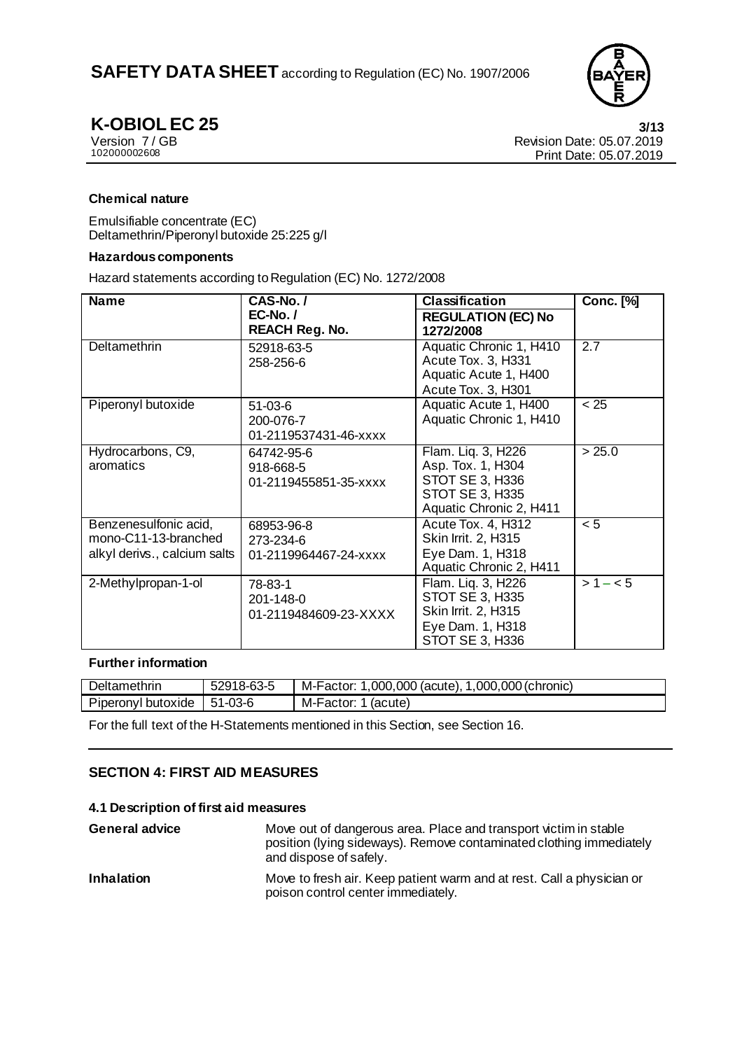

**K-OBIOL EC 25 3/13**<br>Version 7/GB **1/13**<br>Revision Date: 05.07.2019 Version 7 / GB Revision Date: 05.07.2019 Print Date: 05.07.2019

#### **Chemical nature**

Emulsifiable concentrate (EC) Deltamethrin/Piperonyl butoxide 25:225 g/l

#### **Hazardous components**

Hazard statements according to Regulation (EC) No. 1272/2008

| <b>Name</b>                                                                   | CAS-No./                                         | <b>Classification</b>                                                                                      | <b>Conc.</b> [%] |
|-------------------------------------------------------------------------------|--------------------------------------------------|------------------------------------------------------------------------------------------------------------|------------------|
|                                                                               | $EC-No. /$<br><b>REACH Reg. No.</b>              | <b>REGULATION (EC) No</b><br>1272/2008                                                                     |                  |
| Deltamethrin                                                                  | 52918-63-5<br>258-256-6                          | Aquatic Chronic 1, H410<br>Acute Tox. 3, H331<br>Aquatic Acute 1, H400<br>Acute Tox. 3, H301               | $\overline{2.7}$ |
| Piperonyl butoxide                                                            | $51-03-6$<br>200-076-7<br>01-2119537431-46-xxxx  | Aquatic Acute 1, H400<br>Aquatic Chronic 1, H410                                                           | < 25             |
| Hydrocarbons, C9,<br>aromatics                                                | 64742-95-6<br>918-668-5<br>01-2119455851-35-xxxx | Flam. Liq. 3, H226<br>Asp. Tox. 1, H304<br>STOT SE 3, H336<br>STOT SE 3, H335<br>Aquatic Chronic 2, H411   | > 25.0           |
| Benzenesulfonic acid,<br>mono-C11-13-branched<br>alkyl derivs., calcium salts | 68953-96-8<br>273-234-6<br>01-2119964467-24-xxxx | Acute Tox. 4, H312<br>Skin Irrit. 2, H315<br>Eye Dam. 1, H318<br>Aquatic Chronic 2, H411                   | < 5              |
| 2-Methylpropan-1-ol                                                           | 78-83-1<br>201-148-0<br>01-2119484609-23-XXXX    | Flam. Liq. 3, H226<br>STOT SE 3, H335<br>Skin Irrit. 2, H315<br>Eye Dam. 1, H318<br><b>STOT SE 3, H336</b> | $>1 - 5$         |

#### **Further information**

|                                                         | 1,000,000 (chronic) |
|---------------------------------------------------------|---------------------|
| M-Factor:<br>Piperonyl butoxide<br>$51-03-6$<br>(acute) |                     |

For the full text of the H-Statements mentioned in this Section, see Section 16.

### **SECTION 4: FIRST AID MEASURES**

#### **4.1 Description of first aid measures**

| <b>General advice</b> | Move out of dangerous area. Place and transport victim in stable<br>position (lying sideways). Remove contaminated clothing immediately<br>and dispose of safely. |
|-----------------------|-------------------------------------------------------------------------------------------------------------------------------------------------------------------|
| <b>Inhalation</b>     | Move to fresh air. Keep patient warm and at rest. Call a physician or<br>poison control center immediately.                                                       |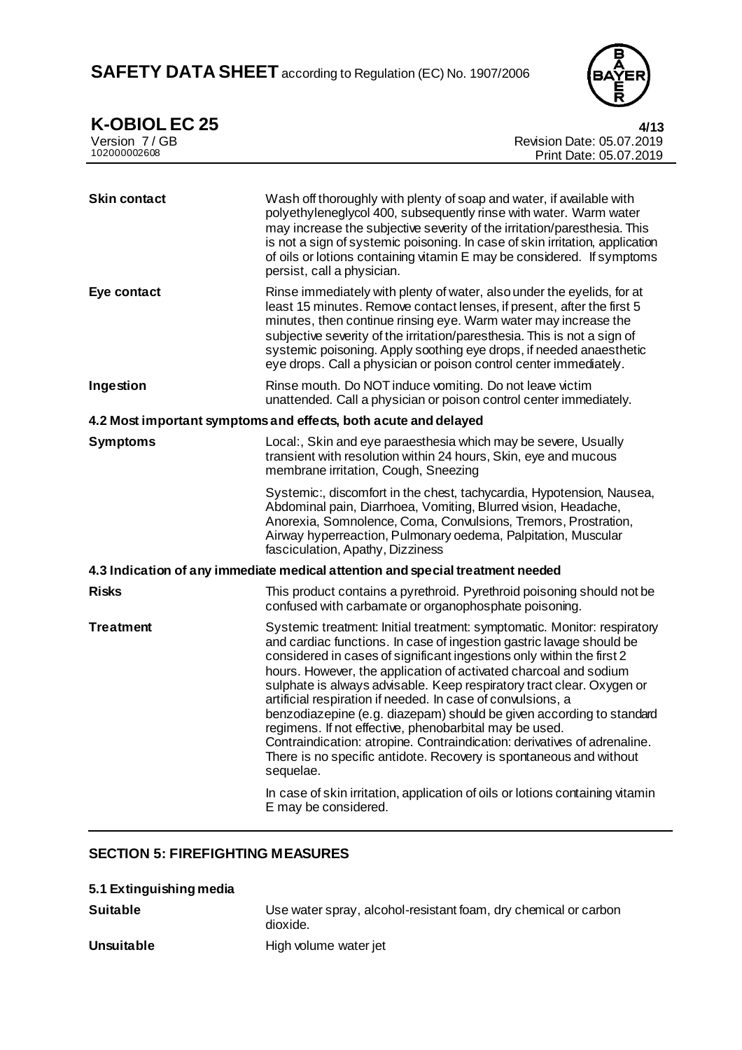

**K-OBIOL EC 25 4/13** 

| IN VPIVLI<br>LV LV<br>Version 7/GB<br>102000002608 | 41 I.J<br>Revision Date: 05.07.2019<br>Print Date: 05.07.2019                                                                                                                                                                                                                                                                                                                                                                                                                                                                                                                                                                                                                                                                          |  |  |
|----------------------------------------------------|----------------------------------------------------------------------------------------------------------------------------------------------------------------------------------------------------------------------------------------------------------------------------------------------------------------------------------------------------------------------------------------------------------------------------------------------------------------------------------------------------------------------------------------------------------------------------------------------------------------------------------------------------------------------------------------------------------------------------------------|--|--|
|                                                    |                                                                                                                                                                                                                                                                                                                                                                                                                                                                                                                                                                                                                                                                                                                                        |  |  |
| <b>Skin contact</b>                                | Wash off thoroughly with plenty of soap and water, if available with<br>polyethyleneglycol 400, subsequently rinse with water. Warm water<br>may increase the subjective severity of the irritation/paresthesia. This<br>is not a sign of systemic poisoning. In case of skin irritation, application<br>of oils or lotions containing vitamin E may be considered. If symptoms<br>persist, call a physician.                                                                                                                                                                                                                                                                                                                          |  |  |
| Eye contact                                        | Rinse immediately with plenty of water, also under the eyelids, for at<br>least 15 minutes. Remove contact lenses, if present, after the first 5<br>minutes, then continue rinsing eye. Warm water may increase the<br>subjective severity of the irritation/paresthesia. This is not a sign of<br>systemic poisoning. Apply soothing eye drops, if needed anaesthetic<br>eye drops. Call a physician or poison control center immediately.                                                                                                                                                                                                                                                                                            |  |  |
| Ingestion                                          | Rinse mouth. Do NOT induce vomiting. Do not leave victim<br>unattended. Call a physician or poison control center immediately.                                                                                                                                                                                                                                                                                                                                                                                                                                                                                                                                                                                                         |  |  |
|                                                    | 4.2 Most important symptoms and effects, both acute and delayed                                                                                                                                                                                                                                                                                                                                                                                                                                                                                                                                                                                                                                                                        |  |  |
| <b>Symptoms</b>                                    | Local:, Skin and eye paraesthesia which may be severe, Usually<br>transient with resolution within 24 hours, Skin, eye and mucous<br>membrane irritation, Cough, Sneezing                                                                                                                                                                                                                                                                                                                                                                                                                                                                                                                                                              |  |  |
|                                                    | Systemic:, discomfort in the chest, tachycardia, Hypotension, Nausea,<br>Abdominal pain, Diarrhoea, Vomiting, Blurred vision, Headache,<br>Anorexia, Somnolence, Coma, Convulsions, Tremors, Prostration,<br>Airway hyperreaction, Pulmonary oedema, Palpitation, Muscular<br>fasciculation, Apathy, Dizziness                                                                                                                                                                                                                                                                                                                                                                                                                         |  |  |
|                                                    | 4.3 Indication of any immediate medical attention and special treatment needed                                                                                                                                                                                                                                                                                                                                                                                                                                                                                                                                                                                                                                                         |  |  |
| <b>Risks</b>                                       | This product contains a pyrethroid. Pyrethroid poisoning should not be<br>confused with carbamate or organophosphate poisoning.                                                                                                                                                                                                                                                                                                                                                                                                                                                                                                                                                                                                        |  |  |
| <b>Treatment</b>                                   | Systemic treatment: Initial treatment: symptomatic. Monitor: respiratory<br>and cardiac functions. In case of ingestion gastric lavage should be<br>considered in cases of significant ingestions only within the first 2<br>hours. However, the application of activated charcoal and sodium<br>sulphate is always advisable. Keep respiratory tract clear. Oxygen or<br>artificial respiration if needed. In case of convulsions, a<br>benzodiazepine (e.g. diazepam) should be given according to standard<br>regimens. If not effective, phenobarbital may be used.<br>Contraindication: atropine. Contraindication: derivatives of adrenaline.<br>There is no specific antidote. Recovery is spontaneous and without<br>sequelae. |  |  |
|                                                    | In case of skin irritation, application of oils or lotions containing vitamin<br>E may be considered.                                                                                                                                                                                                                                                                                                                                                                                                                                                                                                                                                                                                                                  |  |  |

# **SECTION 5: FIREFIGHTING MEASURES**

| 5.1 Extinguishing media |                                                                             |
|-------------------------|-----------------------------------------------------------------------------|
| <b>Suitable</b>         | Use water spray, alcohol-resistant foam, dry chemical or carbon<br>dioxide. |
| Unsuitable              | High volume water jet                                                       |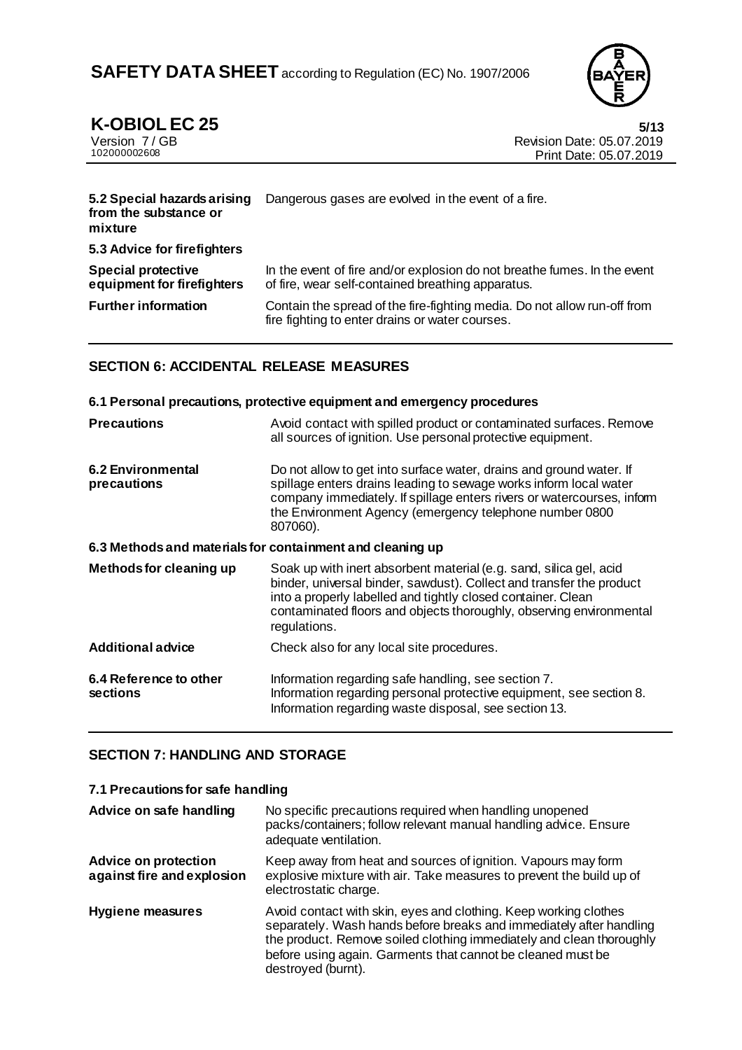

# **K-OBIOL EC 25 5/13**

| Version 7/GB |  |  |
|--------------|--|--|
| 102000002608 |  |  |

**Revision Date: 05.07.2019** Print Date: 05.07.2019

| 5.2 Special hazards arising<br>from the substance or<br>mixture | Dangerous gases are evolved in the event of a fire.                                                                           |
|-----------------------------------------------------------------|-------------------------------------------------------------------------------------------------------------------------------|
| 5.3 Advice for firefighters                                     |                                                                                                                               |
| <b>Special protective</b><br>equipment for firefighters         | In the event of fire and/or explosion do not breathe fumes. In the event<br>of fire, wear self-contained breathing apparatus. |
| <b>Further information</b>                                      | Contain the spread of the fire-fighting media. Do not allow run-off from<br>fire fighting to enter drains or water courses.   |

### **SECTION 6: ACCIDENTAL RELEASE MEASURES**

#### **6.1 Personal precautions, protective equipment and emergency procedures Precautions Avoid contact with spilled product or contaminated surfaces. Remove** all sources of ignition. Use personal protective equipment. **6.2 Environmental precautions** Do not allow to get into surface water, drains and ground water. If spillage enters drains leading to sewage works inform local water company immediately. If spillage enters rivers or watercourses, inform the Environment Agency (emergency telephone number 0800 807060). **6.3 Methods and materials for containment and cleaning up Methods for cleaning up** Soak up with inert absorbent material (e.g. sand, silica gel, acid binder, universal binder, sawdust). Collect and transfer the product into a properly labelled and tightly closed container. Clean contaminated floors and objects thoroughly, observing environmental regulations. **Additional advice** Check also for any local site procedures. **6.4 Reference to other sections** Information regarding safe handling, see section 7. Information regarding personal protective equipment, see section 8. Information regarding waste disposal, see section 13.

# **SECTION 7: HANDLING AND STORAGE**

#### **7.1 Precautions for safe handling**

| Advice on safe handling                                   | No specific precautions required when handling unopened<br>packs/containers; follow relevant manual handling advice. Ensure<br>adequate ventilation.                                                                                                                                                 |
|-----------------------------------------------------------|------------------------------------------------------------------------------------------------------------------------------------------------------------------------------------------------------------------------------------------------------------------------------------------------------|
| <b>Advice on protection</b><br>against fire and explosion | Keep away from heat and sources of ignition. Vapours may form<br>explosive mixture with air. Take measures to prevent the build up of<br>electrostatic charge.                                                                                                                                       |
| <b>Hygiene measures</b>                                   | Avoid contact with skin, eyes and clothing. Keep working clothes<br>separately. Wash hands before breaks and immediately after handling<br>the product. Remove soiled clothing immediately and clean thoroughly<br>before using again. Garments that cannot be cleaned must be<br>destroyed (burnt). |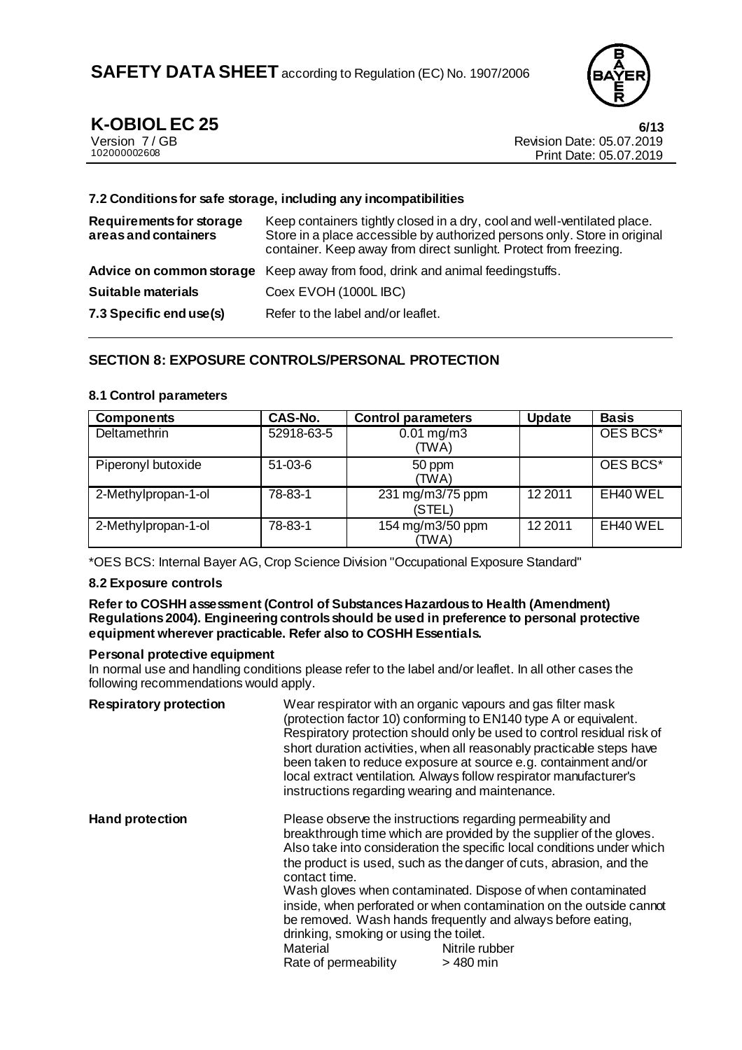

# **K-OBIOL EC 25 6/13**

| Version 7/GB |  |
|--------------|--|
| 102000002608 |  |

Revision Date: 05.07.2019 Print Date: 05.07.2019

#### **7.2 Conditions for safe storage, including any incompatibilities**

| Requirements for storage<br>areas and containers | Keep containers tightly closed in a dry, cool and well-ventilated place.<br>Store in a place accessible by authorized persons only. Store in original<br>container. Keep away from direct sunlight. Protect from freezing. |
|--------------------------------------------------|----------------------------------------------------------------------------------------------------------------------------------------------------------------------------------------------------------------------------|
|                                                  | Advice on common storage Keep away from food, drink and animal feeding stuffs.                                                                                                                                             |
| <b>Suitable materials</b>                        | Coex EVOH (1000L IBC)                                                                                                                                                                                                      |
| 7.3 Specific end use(s)                          | Refer to the label and/or leaflet.                                                                                                                                                                                         |

### **SECTION 8: EXPOSURE CONTROLS/PERSONAL PROTECTION**

#### **8.1 Control parameters**

| <b>Components</b>   | CAS-No.    | <b>Control parameters</b>        | <b>Update</b> | <b>Basis</b>         |
|---------------------|------------|----------------------------------|---------------|----------------------|
| Deltamethrin        | 52918-63-5 | $0.01 \,\mathrm{mg/m3}$<br>(TWA) |               | OES BCS <sup>*</sup> |
| Piperonyl butoxide  | $51-03-6$  | 50 ppm<br>(TWA)                  |               | OES BCS <sup>*</sup> |
| 2-Methylpropan-1-ol | 78-83-1    | 231 mg/m3/75 ppm<br>(STEL)       | 12 2011       | EH40 WEL             |
| 2-Methylpropan-1-ol | 78-83-1    | 154 mg/m3/50 ppm<br>'TWA)        | 12 2011       | EH40 WEL             |

\*OES BCS: Internal Bayer AG, Crop Science Division "Occupational Exposure Standard"

#### **8.2 Exposure controls**

#### **Refer to COSHH assessment (Control of Substances Hazardous to Health (Amendment) Regulations 2004). Engineering controls should be used in preference to personal protective equipment wherever practicable. Refer also to COSHH Essentials.**

#### **Personal protective equipment**

In normal use and handling conditions please refer to the label and/or leaflet. In all other cases the following recommendations would apply.

| <b>Respiratory protection</b> | instructions regarding wearing and maintenance.                                             | Wear respirator with an organic vapours and gas filter mask<br>(protection factor 10) conforming to EN140 type A or equivalent.<br>Respiratory protection should only be used to control residual risk of<br>short duration activities, when all reasonably practicable steps have<br>been taken to reduce exposure at source e.g. containment and/or<br>local extract ventilation. Always follow respirator manufacturer's                                                                                           |
|-------------------------------|---------------------------------------------------------------------------------------------|-----------------------------------------------------------------------------------------------------------------------------------------------------------------------------------------------------------------------------------------------------------------------------------------------------------------------------------------------------------------------------------------------------------------------------------------------------------------------------------------------------------------------|
| <b>Hand protection</b>        | contact time.<br>drinking, smoking or using the toilet.<br>Material<br>Rate of permeability | Please observe the instructions regarding permeability and<br>breakthrough time which are provided by the supplier of the gloves.<br>Also take into consideration the specific local conditions under which<br>the product is used, such as the danger of cuts, abrasion, and the<br>Wash gloves when contaminated. Dispose of when contaminated<br>inside, when perforated or when contamination on the outside cannot<br>be removed. Wash hands frequently and always before eating,<br>Nitrile rubber<br>> 480 min |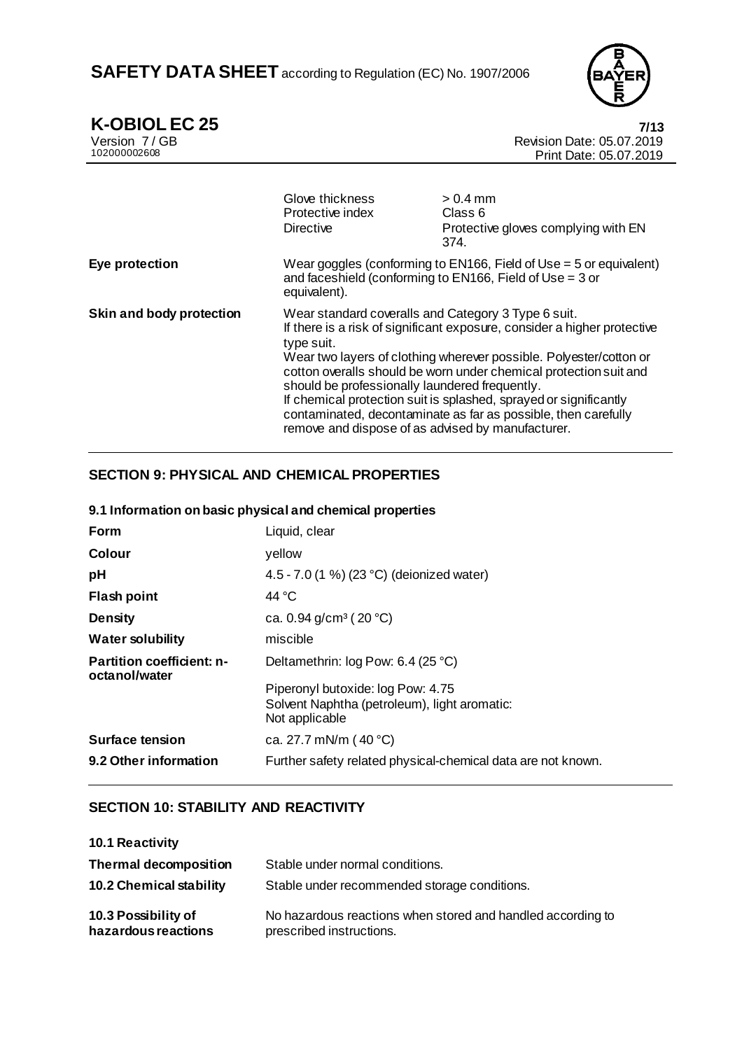

**K-OBIOL EC 25 7/13**

Version 7 / GB Revision Date: 05.07.2019 Print Date: 05.07.2019 Glove thickness  $> 0.4$  mm<br>Protective index Class 6 Protective index<br>Directive Protective gloves complying with EN 374. **Eye protection** Wear goggles (conforming to EN166, Field of Use = 5 or equivalent) and faceshield (conforming to EN166, Field of Use = 3 or equivalent). **Skin and body protection** Wear standard coveralls and Category 3 Type 6 suit. If there is a risk of significant exposure, consider a higher protective type suit. Wear two layers of clothing wherever possible. Polyester/cotton or cotton overalls should be worn under chemical protection suit and should be professionally laundered frequently. If chemical protection suit is splashed, sprayed or significantly contaminated, decontaminate as far as possible, then carefully remove and dispose of as advised by manufacturer.

### **SECTION 9: PHYSICAL AND CHEMICAL PROPERTIES**

#### **9.1 Information on basic physical and chemical properties**

| <b>Form</b>                                       | Liquid, clear                                                                                       |
|---------------------------------------------------|-----------------------------------------------------------------------------------------------------|
| Colour                                            | yellow                                                                                              |
| рH                                                | 4.5 - 7.0 (1 %) (23 °C) (deionized water)                                                           |
| <b>Flash point</b>                                | 44 °C                                                                                               |
| <b>Density</b>                                    | ca. 0.94 $g/cm^3$ (20 °C)                                                                           |
| <b>Water solubility</b>                           | miscible                                                                                            |
| <b>Partition coefficient: n-</b><br>octanol/water | Deltamethrin: log Pow: 6.4 (25 °C)                                                                  |
|                                                   | Piperonyl butoxide: log Pow: 4.75<br>Solvent Naphtha (petroleum), light aromatic:<br>Not applicable |
| <b>Surface tension</b>                            | ca. 27.7 mN/m (40 °C)                                                                               |
| 9.2 Other information                             | Further safety related physical-chemical data are not known.                                        |

#### **SECTION 10: STABILITY AND REACTIVITY**

| <b>10.1 Reactivity</b>                     |                                                                                         |
|--------------------------------------------|-----------------------------------------------------------------------------------------|
| <b>Thermal decomposition</b>               | Stable under normal conditions.                                                         |
| <b>10.2 Chemical stability</b>             | Stable under recommended storage conditions.                                            |
| 10.3 Possibility of<br>hazardous reactions | No hazardous reactions when stored and handled according to<br>prescribed instructions. |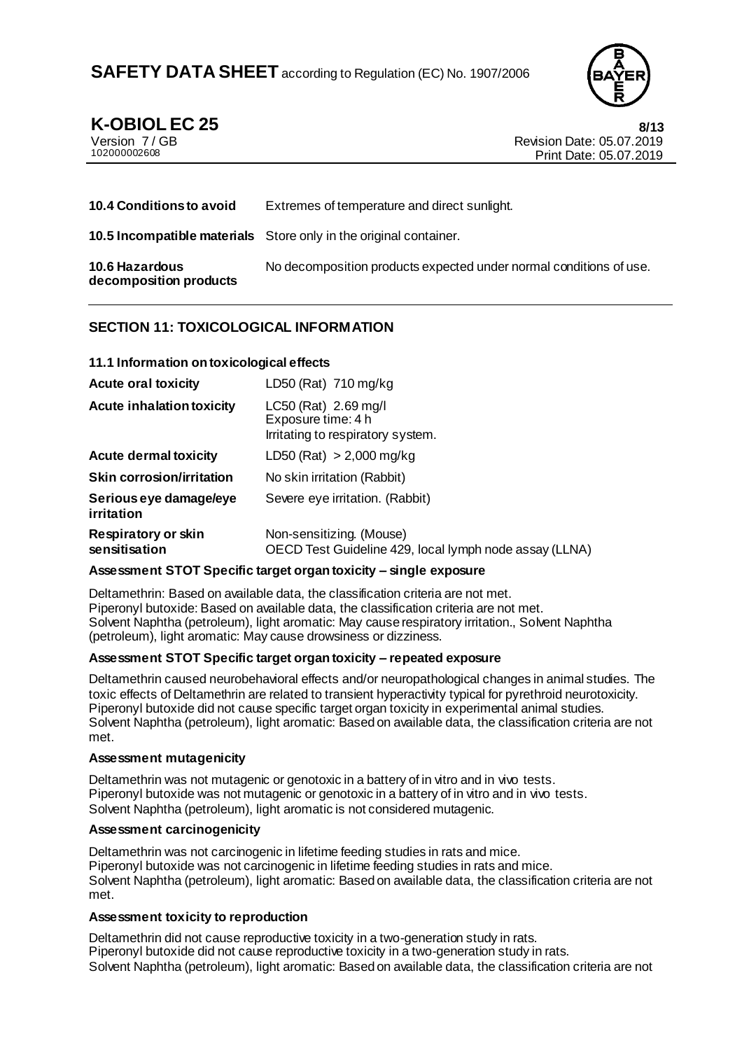

**K-OBIOL EC 25 8/13**<br>Version 7/GB **8/13**<br>Revision Date: 05.07.2019 Version 7/GB<br>10200002608<br>Print Date: 05.07.2019 Print Date: 05.07.2019

| <b>10.4 Conditions to avoid</b>          | Extremes of temperature and direct sunlight.                             |
|------------------------------------------|--------------------------------------------------------------------------|
|                                          | <b>10.5 Incompatible materials</b> Store only in the original container. |
| 10.6 Hazardous<br>decomposition products | No decomposition products expected under normal conditions of use.       |

### **SECTION 11: TOXICOLOGICAL INFORMATION**

#### **11.1 Information on toxicological effects**

| <b>Acute oral toxicity</b>                  | LD50 (Rat) 710 mg/kg                                                               |
|---------------------------------------------|------------------------------------------------------------------------------------|
| <b>Acute inhalation toxicity</b>            | LC50 (Rat) 2.69 mg/l<br>Exposure time: 4 h<br>Irritating to respiratory system.    |
| <b>Acute dermal toxicity</b>                | LD50 (Rat) $> 2,000$ mg/kg                                                         |
| <b>Skin corrosion/irritation</b>            | No skin irritation (Rabbit)                                                        |
| Serious eye damage/eye<br>irritation        | Severe eye irritation. (Rabbit)                                                    |
| <b>Respiratory or skin</b><br>sensitisation | Non-sensitizing. (Mouse)<br>OECD Test Guideline 429, local lymph node assay (LLNA) |

#### **Assessment STOT Specific target organ toxicity – single exposure**

Deltamethrin: Based on available data, the classification criteria are not met. Piperonyl butoxide: Based on available data, the classification criteria are not met. Solvent Naphtha (petroleum), light aromatic: May cause respiratory irritation., Solvent Naphtha (petroleum), light aromatic: May cause drowsiness or dizziness.

#### **Assessment STOT Specific target organ toxicity – repeated exposure**

Deltamethrin caused neurobehavioral effects and/or neuropathological changes in animal studies. The toxic effects of Deltamethrin are related to transient hyperactivity typical for pyrethroid neurotoxicity. Piperonyl butoxide did not cause specific target organ toxicity in experimental animal studies. Solvent Naphtha (petroleum), light aromatic: Based on available data, the classification criteria are not met.

#### **Assessment mutagenicity**

Deltamethrin was not mutagenic or genotoxic in a battery of in vitro and in vivo tests. Piperonyl butoxide was not mutagenic or genotoxic in a battery of in vitro and in vivo tests. Solvent Naphtha (petroleum), light aromatic is not considered mutagenic.

#### **Assessment carcinogenicity**

Deltamethrin was not carcinogenic in lifetime feeding studies in rats and mice. Piperonyl butoxide was not carcinogenic in lifetime feeding studies in rats and mice. Solvent Naphtha (petroleum), light aromatic: Based on available data, the classification criteria are not met.

#### **Assessment toxicity to reproduction**

Deltamethrin did not cause reproductive toxicity in a two-generation study in rats. Piperonyl butoxide did not cause reproductive toxicity in a two-generation study in rats. Solvent Naphtha (petroleum), light aromatic: Based on available data, the classification criteria are not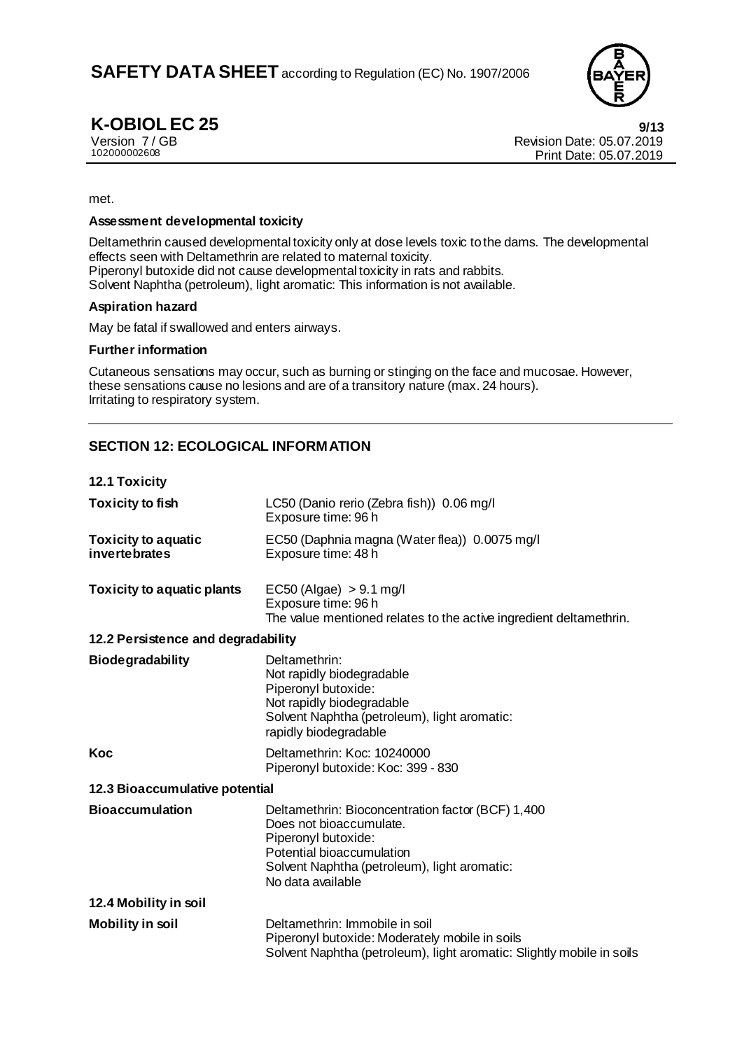

**K-OBIOL EC 25** 9/13<br>
Version 7/GB<br> **Prevision Date: 05.07.2019** Version 7 / GB Revision Date: 05.07.2019 Print Date: 05.07.2019

met.

#### **Assessment developmental toxicity**

Deltamethrin caused developmental toxicity only at dose levels toxic to the dams. The developmental effects seen with Deltamethrin are related to maternal toxicity. Piperonyl butoxide did not cause developmental toxicity in rats and rabbits. Solvent Naphtha (petroleum), light aromatic: This information is not available.

#### **Aspiration hazard**

May be fatal if swallowed and enters airways.

#### **Further information**

Cutaneous sensations may occur, such as burning or stinging on the face and mucosae. However, these sensations cause no lesions and are of a transitory nature (max. 24 hours). Irritating to respiratory system.

### **SECTION 12: ECOLOGICAL INFORMATION**

**12.1 Toxicity**

| <b>Toxicity to fish</b>                     | LC50 (Danio rerio (Zebra fish)) 0.06 mg/l<br>Exposure time: 96 h                                                                                                                                      |  |
|---------------------------------------------|-------------------------------------------------------------------------------------------------------------------------------------------------------------------------------------------------------|--|
| <b>Toxicity to aquatic</b><br>invertebrates | EC50 (Daphnia magna (Water flea)) 0.0075 mg/l<br>Exposure time: 48 h                                                                                                                                  |  |
| <b>Toxicity to aquatic plants</b>           | $EC50$ (Algae) $> 9.1$ mg/l<br>Exposure time: 96 h<br>The value mentioned relates to the active ingredient deltamethrin.                                                                              |  |
| 12.2 Persistence and degradability          |                                                                                                                                                                                                       |  |
| <b>Biodegradability</b>                     | Deltamethrin:<br>Not rapidly biodegradable<br>Piperonyl butoxide:<br>Not rapidly biodegradable<br>Solvent Naphtha (petroleum), light aromatic:<br>rapidly biodegradable                               |  |
| Koc                                         | Deltamethrin: Koc: 10240000<br>Piperonyl butoxide: Koc: 399 - 830                                                                                                                                     |  |
| 12.3 Bioaccumulative potential              |                                                                                                                                                                                                       |  |
| <b>Bioaccumulation</b>                      | Deltamethrin: Bioconcentration factor (BCF) 1,400<br>Does not bioaccumulate.<br>Piperonyl butoxide:<br>Potential bioaccumulation<br>Solvent Naphtha (petroleum), light aromatic:<br>No data available |  |
| 12.4 Mobility in soil                       |                                                                                                                                                                                                       |  |
| <b>Mobility in soil</b>                     | Deltamethrin: Immobile in soil<br>Piperonyl butoxide: Moderately mobile in soils<br>Solvent Naphtha (petroleum), light aromatic: Slightly mobile in soils                                             |  |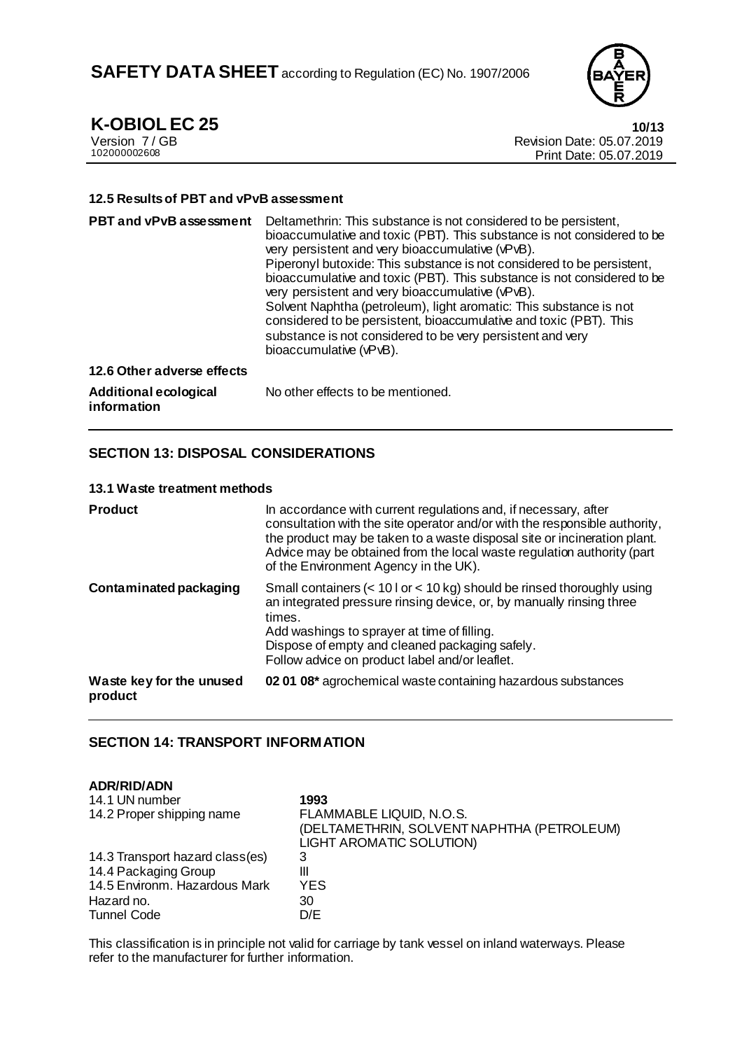

**K-OBIOL EC 25**<br>Version 7/GB **10/13**<br>Revision Date: 05.07.2019 Version 7 / GB Revision Date: 05.07.2019 Print Date: 05.07.2019

#### **12.5 Results of PBT and vPvB assessment**

| <b>PBT and vPvB assessment</b>       | Deltamethrin: This substance is not considered to be persistent,<br>bioaccumulative and toxic (PBT). This substance is not considered to be<br>very persistent and very bioaccumulative (vPvB).<br>Piperonyl butoxide: This substance is not considered to be persistent,<br>bioaccumulative and toxic (PBT). This substance is not considered to be<br>very persistent and very bioaccumulative (vPvB).<br>Solvent Naphtha (petroleum), light aromatic: This substance is not<br>considered to be persistent, bioaccumulative and toxic (PBT). This<br>substance is not considered to be very persistent and very<br>bioaccumulative (vPvB). |
|--------------------------------------|-----------------------------------------------------------------------------------------------------------------------------------------------------------------------------------------------------------------------------------------------------------------------------------------------------------------------------------------------------------------------------------------------------------------------------------------------------------------------------------------------------------------------------------------------------------------------------------------------------------------------------------------------|
| 12.6 Other adverse effects           |                                                                                                                                                                                                                                                                                                                                                                                                                                                                                                                                                                                                                                               |
| Additional ecological<br>information | No other effects to be mentioned.                                                                                                                                                                                                                                                                                                                                                                                                                                                                                                                                                                                                             |

### **SECTION 13: DISPOSAL CONSIDERATIONS**

#### **13.1 Waste treatment methods**

| <b>Product</b>                      | In accordance with current regulations and, if necessary, after<br>consultation with the site operator and/or with the responsible authority,<br>the product may be taken to a waste disposal site or incineration plant.<br>Advice may be obtained from the local waste regulation authority (part<br>of the Environment Agency in the UK). |
|-------------------------------------|----------------------------------------------------------------------------------------------------------------------------------------------------------------------------------------------------------------------------------------------------------------------------------------------------------------------------------------------|
| Contaminated packaging              | Small containers (< 10 l or < 10 kg) should be rinsed thoroughly using<br>an integrated pressure rinsing device, or, by manually rinsing three<br>times.<br>Add washings to sprayer at time of filling.<br>Dispose of empty and cleaned packaging safely.<br>Follow advice on product label and/or leaflet.                                  |
| Waste key for the unused<br>product | 02 01 08* agrochemical waste containing hazardous substances                                                                                                                                                                                                                                                                                 |

### **SECTION 14: TRANSPORT INFORMATION**

#### **ADR/RID/ADN**

| 14.1 UN number<br>14.2 Proper shipping name | 1993<br>FLAMMABLE LIQUID, N.O.S.<br>(DELTAMETHRIN, SOLVENT NAPHTHA (PETROLEUM)<br>LIGHT AROMATIC SOLUTION) |
|---------------------------------------------|------------------------------------------------------------------------------------------------------------|
| 14.3 Transport hazard class(es)             | 3                                                                                                          |
| 14.4 Packaging Group                        | Ш                                                                                                          |
| 14.5 Environm. Hazardous Mark               | YES                                                                                                        |
| Hazard no.                                  | 30                                                                                                         |
| <b>Tunnel Code</b>                          | D/E                                                                                                        |

This classification is in principle not valid for carriage by tank vessel on inland waterways. Please refer to the manufacturer for further information.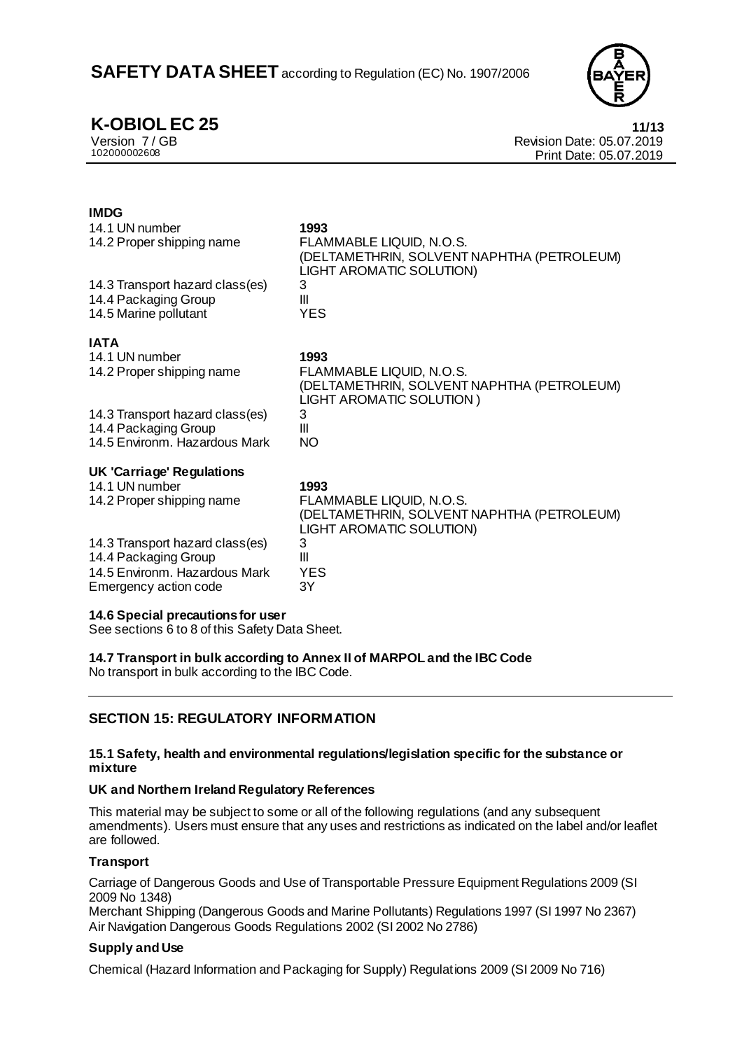

**K-OBIOL EC 25 11/13**<br>
Version 7/GB **11/13**<br>
Revision Date: 05.07.2019 Version 7 / GB Revision Date: 05.07.2019 Print Date: 05.07.2019

#### **IMDG** 14.1 UN number **1993**<br>14.2 Proper shipping name **FLAN** FLAMMABLE LIQUID, N.O.S. (DELTAMETHRIN, SOLVENT NAPHTHA (PETROLEUM) LIGHT AROMATIC SOLUTION) 14.3 Transport hazard class(es) 3 14.4 Packaging Group III 14.5 Marine pollutant **IATA** 14.1 UN number **1993** 14.2 Proper shipping name FLAMMABLE LIQUID, N.O.S. (DELTAMETHRIN, SOLVENT NAPHTHA (PETROLEUM) LIGHT AROMATIC SOLUTION ) 14.3 Transport hazard class(es) 3<br>14.4 Packaging Group 11 14.4 Packaging Group III III<br>14.5 Environm. Hazardous Mark III NO 14.5 Environm. Hazardous Mark **UK 'Carriage' Regulations** 14.1 UN number **1993** 14.2 Proper shipping name FLAMMABLE LIQUID, N.O.S. (DELTAMETHRIN, SOLVENT NAPHTHA (PETROLEUM) LIGHT AROMATIC SOLUTION) 14.3 Transport hazard class(es) 3 14.4 Packaging Group III 14.5 Environm. Hazardous Mark YES Emergency action code 3Y **14.6 Special precautions for user**

See sections 6 to 8 of this Safety Data Sheet.

**14.7 Transport in bulk according to Annex II of MARPOL and the IBC Code** No transport in bulk according to the IBC Code.

# **SECTION 15: REGULATORY INFORMATION**

#### **15.1 Safety, health and environmental regulations/legislation specific for the substance or mixture**

#### **UK and Northern Ireland Regulatory References**

This material may be subject to some or all of the following regulations (and any subsequent amendments). Users must ensure that any uses and restrictions as indicated on the label and/or leaflet are followed.

### **Transport**

Carriage of Dangerous Goods and Use of Transportable Pressure Equipment Regulations 2009 (SI 2009 No 1348)

Merchant Shipping (Dangerous Goods and Marine Pollutants) Regulations 1997 (SI 1997 No 2367) Air Navigation Dangerous Goods Regulations 2002 (SI 2002 No 2786)

### **Supply and Use**

Chemical (Hazard Information and Packaging for Supply) Regulations 2009 (SI 2009 No 716)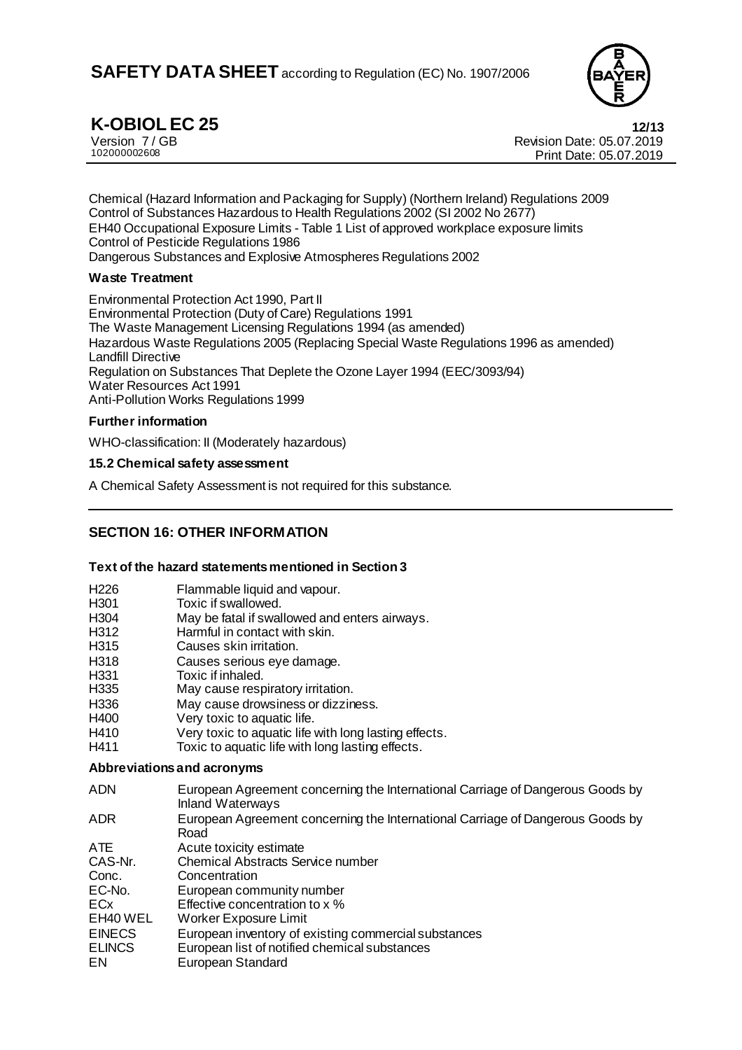

**K-OBIOL EC 25 12/13**<br>
Version 7/GB **12/13**<br>
Revision Date: 05.07.2019 Version 7 / GB Revision Date: 05.07.2019 Print Date: 05.07.2019

Chemical (Hazard Information and Packaging for Supply) (Northern Ireland) Regulations 2009 Control of Substances Hazardous to Health Regulations 2002 (SI 2002 No 2677) EH40 Occupational Exposure Limits - Table 1 List of approved workplace exposure limits Control of Pesticide Regulations 1986 Dangerous Substances and Explosive Atmospheres Regulations 2002

#### **Waste Treatment**

Environmental Protection Act 1990, Part II Environmental Protection (Duty of Care) Regulations 1991 The Waste Management Licensing Regulations 1994 (as amended) Hazardous Waste Regulations 2005 (Replacing Special Waste Regulations 1996 as amended) Landfill Directive Regulation on Substances That Deplete the Ozone Layer 1994 (EEC/3093/94) Water Resources Act 1991 Anti-Pollution Works Regulations 1999

#### **Further information**

WHO-classification: II (Moderately hazardous)

#### **15.2 Chemical safety assessment**

A Chemical Safety Assessment is not required for this substance.

# **SECTION 16: OTHER INFORMATION**

#### **Text of the hazard statements mentioned in Section 3**

- H226 Flammable liquid and vapour.<br>H301 Toxic if swallowed.
- Toxic if swallowed.
- H304 May be fatal if swallowed and enters airways.
- H312 Harmful in contact with skin.
- H315 Causes skin irritation.
- H318 Causes serious eye damage.
- H331 Toxic if inhaled.
- H335 May cause respiratory irritation.
- H336 May cause drowsiness or dizziness.
- H400 Very toxic to aquatic life.
- H410 Very toxic to aquatic life with long lasting effects.
- H411 Toxic to aquatic life with long lasting effects.

#### **Abbreviations and acronyms**

- ADN European Agreement concerning the International Carriage of Dangerous Goods by Inland Waterways
- ADR European Agreement concerning the International Carriage of Dangerous Goods by Road
- ATE Acute toxicity estimate<br>CAS-Nr. Chemical Abstracts Se
- CAS-Nr. Chemical Abstracts Service number<br>Conc. Concentration
- Conc. Concentration<br>EC-No. European com
- EC-No. European community number<br>ECx Effective concentration to x %
- ECx Effective concentration to x %<br>EH40 WEL Worker Exposure Limit
- Worker Exposure Limit
- EINECS European inventory of existing commercial substances<br>ELINCS European list of notified chemical substances
- European list of notified chemical substances
- EN European Standard